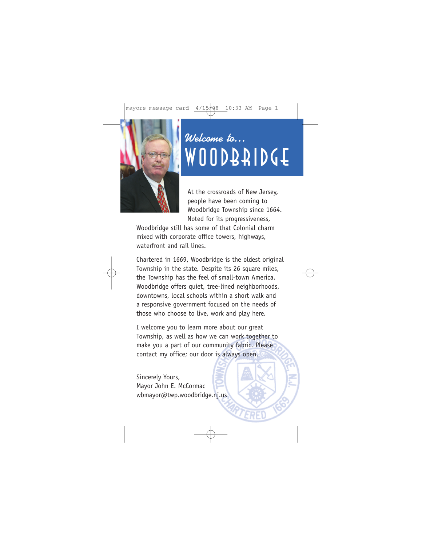

## Welcome to… WOODBRIDGE

At the crossroads of New Jersey, people have been coming to Woodbridge Township since 1664. Noted for its progressiveness,

Woodbridge still has some of that Colonial charm mixed with corporate office towers, highways, waterfront and rail lines.

Chartered in 1669, Woodbridge is the oldest original Township in the state. Despite its 26 square miles, the Township has the feel of small-town America. Woodbridge offers quiet, tree-lined neighborhoods, downtowns, local schools within a short walk and a responsive government focused on the needs of those who choose to live, work and play here.

I welcome you to learn more about our great Township, as well as how we can work together to make you a part of our community fabric. Please contact my office; our door is always open.

Sincerely Yours, Mayor John E. McCormac wbmayor@twp.woodbridge.nj.us